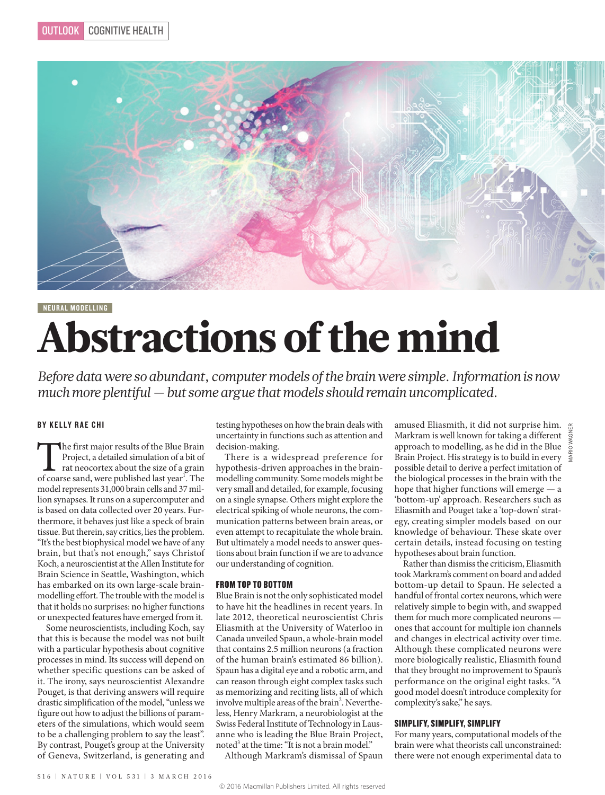

NEURAL MODELLING

# Abstractions of the mind

*Before data were so abundant, computer models of the brain were simple. Information is now much more plentiful — but some argue that models should remain uncomplicated.*

# BY KELLY RAE CHI

The first major results of the Blue Brain Project, a detailed simulation of a bit of rat neocortex about the size of a grain of coarse sand, were published last year<sup>1</sup>. The Project, a detailed simulation of a bit of rat neocortex about the size of a grain model represents 31,000 brain cells and 37 million synapses. It runs on a supercomputer and is based on data collected over 20 years. Furthermore, it behaves just like a speck of brain tissue. But therein, say critics, lies the problem. "It's the best biophysical model we have of any brain, but that's not enough," says Christof Koch, a neuroscientist at the Allen Institute for Brain Science in Seattle, Washington, which has embarked on its own large-scale brainmodelling effort. The trouble with the model is that it holds no surprises: no higher functions or unexpected features have emerged from it.

Some neuroscientists, including Koch, say that this is because the model was not built with a particular hypothesis about cognitive processes in mind. Its success will depend on whether specific questions can be asked of it. The irony, says neuroscientist Alexandre Pouget, is that deriving answers will require drastic simplification of the model, "unless we figure out how to adjust the billions of parameters of the simulations, which would seem to be a challenging problem to say the least". By contrast, Pouget's group at the University of Geneva, Switzerland, is generating and

testing hypotheses on how the brain deals with uncertainty in functions such as attention and decision-making.

There is a widespread preference for hypothesis-driven approaches in the brainmodelling community. Some models might be very small and detailed, for example, focusing on a single synapse. Others might explore the electrical spiking of whole neurons, the communication patterns between brain areas, or even attempt to recapitulate the whole brain. But ultimately a model needs to answer questions about brain function if we are to advance our understanding of cognition.

## FROM TOP TO BOTTOM

Blue Brain is not the only sophisticated model to have hit the headlines in recent years. In late 2012, theoretical neuroscientist Chris Eliasmith at the University of Waterloo in Canada unveiled Spaun, a whole-brain model that contains 2.5 million neurons (a fraction of the human brain's estimated 86 billion). Spaun has a digital eye and a robotic arm, and can reason through eight complex tasks such as memorizing and reciting lists, all of which involve multiple areas of the brain<sup>2</sup>. Nevertheless, Henry Markram, a neurobiologist at the Swiss Federal Institute of Technology in Lausanne who is leading the Blue Brain Project, noted<sup>3</sup> at the time: "It is not a brain model."

Although Markram's dismissal of Spaun

amused Eliasmith, it did not surprise him. Markram is well known for taking a different  $\frac{z}{s}$ approach to modelling, as he did in the Blue Brain Project. His strategy is to build in every possible detail to derive a perfect imitation of the biological processes in the brain with the hope that higher functions will emerge — a 'bottom-up' approach. Researchers such as Eliasmith and Pouget take a 'top-down' strategy, creating simpler models based on our knowledge of behaviour. These skate over certain details, instead focusing on testing hypotheses about brain function.

Rather than dismiss the criticism, Eliasmith took Markram's comment on board and added bottom-up detail to Spaun. He selected a handful of frontal cortex neurons, which were relatively simple to begin with, and swapped them for much more complicated neurons ones that account for multiple ion channels and changes in electrical activity over time. Although these complicated neurons were more biologically realistic, Eliasmith found that they brought no improvement to Spaun's performance on the original eight tasks. "A good model doesn't introduce complexity for complexity's sake," he says.

# SIMPLIFY, SIMPLIFY, SIMPLIFY

For many years, computational models of the brain were what theorists call unconstrained: there were not enough experimental data to